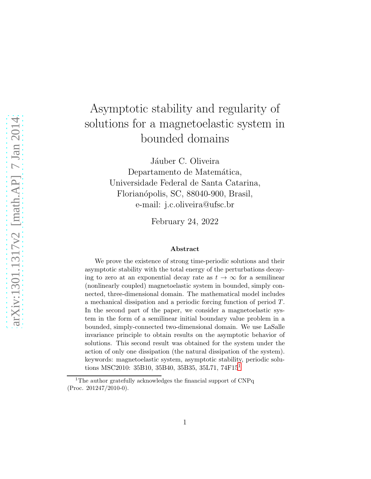# Asymptotic stability and regularity of solutions for a magnetoelastic system in bounded domains

Jáuber C. Oliveira Departamento de Matemática, Universidade Federal de Santa Catarina, Florianópolis, SC, 88040-900, Brasil, e-mail: j.c.oliveira@ufsc.br

February 24, 2022

#### Abstract

We prove the existence of strong time-periodic solutions and their asymptotic stability with the total energy of the perturbations decaying to zero at an exponential decay rate as  $t \to \infty$  for a semilinear (nonlinearly coupled) magnetoelastic system in bounded, simply connected, three-dimensional domain. The mathematical model includes a mechanical dissipation and a periodic forcing function of period T. In the second part of the paper, we consider a magnetoelastic system in the form of a semilinear initial boundary value problem in a bounded, simply-connected two-dimensional domain. We use LaSalle invariance principle to obtain results on the asymptotic behavior of solutions. This second result was obtained for the system under the action of only one dissipation (the natural dissipation of the system). keywords: magnetoelastic system, asymptotic stability, periodic solutions MSC2010: 35B10, 35B40, 35B35, 35L71, 74F15[1](#page-0-0)

<span id="page-0-0"></span><sup>&</sup>lt;sup>1</sup>The author gratefully acknowledges the financial support of CNPq (Proc. 201247/2010-0).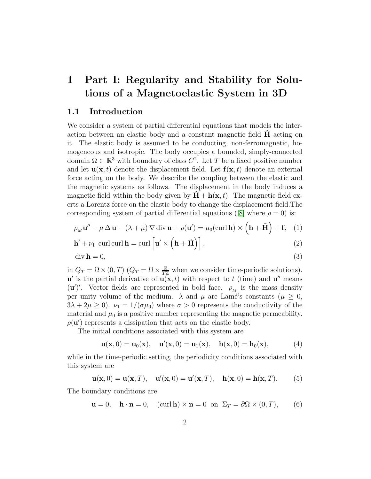## 1 Part I: Regularity and Stability for Solutions of a Magnetoelastic System in 3D

## 1.1 Introduction

We consider a system of partial differential equations that models the interaction between an elastic body and a constant magnetic field  $\bf{H}$  acting on it. The elastic body is assumed to be conducting, non-ferromagnetic, homogeneous and isotropic. The body occupies a bounded, simply-connected domain  $\Omega \subset \mathbb{R}^3$  with boundary of class  $C^2$ . Let T be a fixed positive number and let  $\mathbf{u}(\mathbf{x},t)$  denote the displacement field. Let  $\mathbf{f}(\mathbf{x},t)$  denote an external force acting on the body. We describe the coupling between the elastic and the magnetic systems as follows. The displacement in the body induces a magnetic field within the body given by  $H + h(x, t)$ . The magnetic field exerts a Lorentz force on the elastic body to change the displacement field.The corresponding system of partial differential equations ([\[8\]](#page-22-0) where  $\rho = 0$ ) is:

<span id="page-1-0"></span>
$$
\rho_M \mathbf{u}'' - \mu \Delta \mathbf{u} - (\lambda + \mu) \nabla \operatorname{div} \mathbf{u} + \rho(\mathbf{u}') = \mu_0(\operatorname{curl} \mathbf{h}) \times (\mathbf{h} + \tilde{\mathbf{H}}) + \mathbf{f}, \quad (1)
$$

$$
\mathbf{h}' + \nu_1 \, \operatorname{curl} \operatorname{curl} \mathbf{h} = \operatorname{curl} \left[ \mathbf{u}' \times \left( \mathbf{h} + \tilde{\mathbf{H}} \right) \right],\tag{2}
$$

$$
\operatorname{div} \mathbf{h} = 0,\tag{3}
$$

in  $Q_T = \Omega \times (0, T)$   $(Q_T = \Omega \times \frac{\mathbb{R}}{T\mathbb{Z}})$  when we consider time-periodic solutions).  ${\bf u}'$  is the partial derivative of  ${\bf u}({\bf x},t)$  with respect to t (time) and  ${\bf u}''$  means (**u**')'. Vector fields are represented in bold face.  $\rho_M$  is the mass density per unity volume of the medium.  $\lambda$  and  $\mu$  are Lamé's constants ( $\mu \geq 0$ ,  $3\lambda + 2\mu \ge 0$ .  $\nu_1 = 1/(\sigma \mu_0)$  where  $\sigma > 0$  represents the conductivity of the material and  $\mu_0$  is a positive number representing the magnetic permeability.  $\rho(\mathbf{u}')$  represents a dissipation that acts on the elastic body.

The initial conditions associated with this system are

<span id="page-1-4"></span><span id="page-1-2"></span><span id="page-1-1"></span>
$$
\mathbf{u}(\mathbf{x},0) = \mathbf{u}_0(\mathbf{x}), \quad \mathbf{u}'(\mathbf{x},0) = \mathbf{u}_1(\mathbf{x}), \quad \mathbf{h}(\mathbf{x},0) = \mathbf{h}_0(\mathbf{x}), \tag{4}
$$

while in the time-periodic setting, the periodicity conditions associated with this system are

<span id="page-1-5"></span>
$$
\mathbf{u}(\mathbf{x},0) = \mathbf{u}(\mathbf{x},T), \quad \mathbf{u}'(\mathbf{x},0) = \mathbf{u}'(\mathbf{x},T), \quad \mathbf{h}(\mathbf{x},0) = \mathbf{h}(\mathbf{x},T). \tag{5}
$$

The boundary conditions are

<span id="page-1-3"></span>
$$
\mathbf{u} = 0, \quad \mathbf{h} \cdot \mathbf{n} = 0, \quad (\text{curl } \mathbf{h}) \times \mathbf{n} = 0 \text{ on } \Sigma_T = \partial \Omega \times (0, T), \tag{6}
$$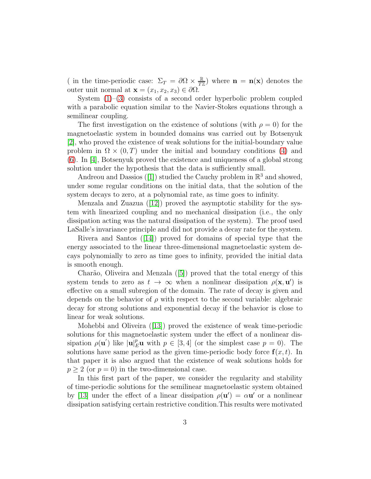( in the time-periodic case:  $\Sigma_T = \partial \Omega \times \frac{\mathbb{R}}{T^2}$  $\frac{\mathbb{R}}{T\mathbb{Z}}$  where  $\mathbf{n} = \mathbf{n}(\mathbf{x})$  denotes the outer unit normal at  $\mathbf{x} = (x_1, x_2, x_3) \in \partial \Omega$ .

System [\(1\)](#page-1-0)–[\(3\)](#page-1-1) consists of a second order hyperbolic problem coupled with a parabolic equation similar to the Navier-Stokes equations through a semilinear coupling.

The first investigation on the existence of solutions (with  $\rho = 0$ ) for the magnetoelastic system in bounded domains was carried out by Botsenyuk [\[2\]](#page-21-0), who proved the existence of weak solutions for the initial-boundary value problem in  $\Omega \times (0,T)$  under the initial and boundary conditions [\(4\)](#page-1-2) and [\(6\)](#page-1-3). In [\[4\]](#page-22-1), Botsenyuk proved the existence and uniqueness of a global strong solution under the hypothesis that the data is sufficiently small.

Andreou and Dassios ([\[1\]](#page-21-1)) studied the Cauchy problem in  $\mathbb{R}^3$  and showed, under some regular conditions on the initial data, that the solution of the system decays to zero, at a polynomial rate, as time goes to infinity.

Menzala and Zuazua ([\[12\]](#page-22-2)) proved the asymptotic stability for the system with linearized coupling and no mechanical dissipation (i.e., the only dissipation acting was the natural dissipation of the system). The proof used LaSalle's invariance principle and did not provide a decay rate for the system.

Rivera and Santos ([\[14\]](#page-22-3)) proved for domains of special type that the energy associated to the linear three-dimensional magnetoelastic system decays polynomially to zero as time goes to infinity, provided the initial data is smooth enough.

Charão, Oliveira and Menzala  $([5])$  $([5])$  $([5])$  proved that the total energy of this system tends to zero as  $t \to \infty$  when a nonlinear dissipation  $\rho(\mathbf{x}, \mathbf{u}')$  is effective on a small subregion of the domain. The rate of decay is given and depends on the behavior of  $\rho$  with respect to the second variable: algebraic decay for strong solutions and exponential decay if the behavior is close to linear for weak solutions.

Mohebbi and Oliveira ([\[13\]](#page-22-5)) proved the existence of weak time-periodic solutions for this magnetoelastic system under the effect of a nonlinear dissipation  $\rho(\mathbf{u}')$  like  $|\mathbf{u}|_E^p \mathbf{u}$  with  $p \in [3, 4]$  (or the simplest case  $p = 0$ ). The solutions have same period as the given time-periodic body force  $f(x, t)$ . In that paper it is also argued that the existence of weak solutions holds for  $p > 2$  (or  $p = 0$ ) in the two-dimensional case.

In this first part of the paper, we consider the regularity and stability of time-periodic solutions for the semilinear magnetoelastic system obtained by [\[13\]](#page-22-5) under the effect of a linear dissipation  $\rho(\mathbf{u}') = \alpha \mathbf{u}'$  or a nonlinear dissipation satisfying certain restrictive condition.This results were motivated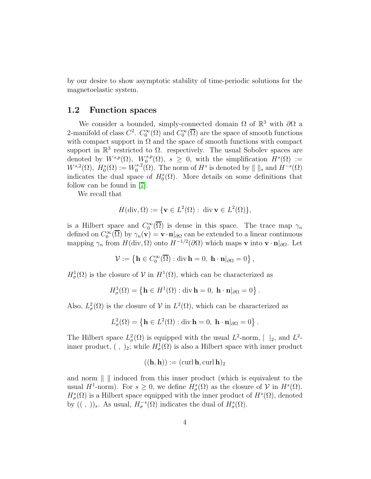by our desire to show asymptotic stability of time-periodic solutions for the magnetoelastic system.

#### 1.2 Function spaces

We consider a bounded, simply-connected domain  $\Omega$  of  $\mathbb{R}^3$  with  $\partial\Omega$  a 2-manifold of class  $C^2$ .  $C_0^{\infty}(\Omega)$  and  $C_0^{\infty}(\overline{\Omega})$  are the space of smooth functions with compact support in  $\Omega$  and the space of smooth functions with compact support in  $\mathbb{R}^3$  restricted to  $\Omega$ . respectively. The usual Sobolev spaces are denoted by  $W^{s,p}(\Omega)$ ,  $W^{s,p}(\Omega)$ ,  $s \geq 0$ , with the simplification  $H^s(\Omega) :=$  $W^{s,2}(\Omega), H_0^s(\Omega) := W_0^{s,2}$ <sup>s,2</sup>( $\Omega$ ). The norm of  $H^s$  is denoted by  $\| \, \|_s$  and  $H^{-s}(\Omega)$ indicates the dual space of  $H_0^s(\Omega)$ . More details on some definitions that follow can be found in [\[7\]](#page-22-6).

We recall that

$$
H(\operatorname{div}, \Omega) := \{ \mathbf{v} \in L^2(\Omega) : \operatorname{div} \mathbf{v} \in L^2(\Omega) \},
$$

is a Hilbert space and  $C_0^{\infty}(\overline{\Omega})$  is dense in this space. The trace map  $\gamma_n$ defined on  $C_0^{\infty}(\overline{\Omega})$  by  $\gamma_n(\mathbf{v}) = \mathbf{v} \cdot \mathbf{n}|_{\partial\Omega}$  can be extended to a linear continuous mapping  $\gamma_n$  from  $H(\text{div}, \Omega)$  onto  $H^{-1/2}(\partial \Omega)$  which maps v into  $\mathbf{v} \cdot \mathbf{n}|_{\partial \Omega}$ . Let

$$
\mathcal{V} := \left\{ \mathbf{h} \in C_0^{\infty}(\overline{\Omega}) : \text{div } \mathbf{h} = 0, \ \mathbf{h} \cdot \mathbf{n} \vert_{\partial \Omega} = 0 \right\},\
$$

 $H^1_\sigma(\Omega)$  is the closure of  $\mathcal V$  in  $H^1(\Omega)$ , which can be characterized as

$$
H^1_{\sigma}(\Omega) = \left\{ \mathbf{h} \in H^1(\Omega) : \text{div } \mathbf{h} = 0, \ \mathbf{h} \cdot \mathbf{n} |_{\partial \Omega} = 0 \right\}
$$

.

Also,  $L^2_{\sigma}(\Omega)$  is the closure of  $V$  in  $L^2(\Omega)$ , which can be characterized as

$$
L^2_{\sigma}(\Omega) = \left\{ \mathbf{h} \in L^2(\Omega) : \text{div } \mathbf{h} = 0, \ \mathbf{h} \cdot \mathbf{n} |_{\partial \Omega} = 0 \right\}.
$$

The Hilbert space  $L^2_{\sigma}(\Omega)$  is equipped with the usual  $L^2$ -norm,  $|_2$ , and  $L^2$ inner product,  $( , )_2$ ; while  $H^1_\sigma(\Omega)$  is also a Hilbert space with inner product

$$
((\mathbf{h}, \mathbf{h})) := (\operatorname{curl} \mathbf{h}, \operatorname{curl} \mathbf{h})_2
$$

and norm  $\| \cdot \|$  induced from this inner product (which is equivalent to the usual  $H^1$ -norm). For  $s \geq 0$ , we define  $H^s_\sigma(\Omega)$  as the closure of  $\mathcal V$  in  $H^s(\Omega)$ .  $H^s_{\sigma}(\Omega)$  is a Hilbert space equipped with the inner product of  $H^s(\Omega)$ , denoted by  $((,))_s$ . As usual,  $H_{\sigma}^{-s}(\Omega)$  indicates the dual of  $H_{\sigma}^{s}(\Omega)$ .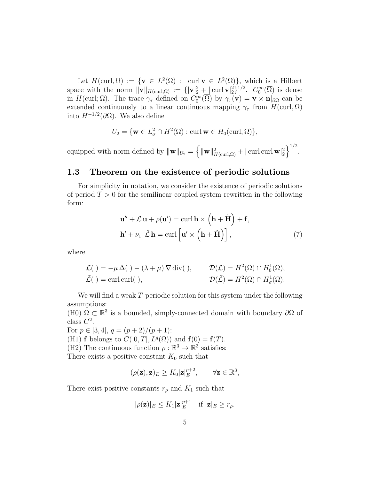Let  $H(\text{curl}, \Omega) := \{ \mathbf{v} \in L^2(\Omega) : \text{curl } \mathbf{v} \in L^2(\Omega) \},$  which is a Hilbert space with the norm  $\|\mathbf{v}\|_{H(\text{curl},\Omega)} := {\|\mathbf{v}\|_2^2 + |\text{curl } \mathbf{v}|_2^2}$ ,  $C_0^{\infty}(\overline{\Omega})$  is dense in  $H(\text{curl}; \Omega)$ . The trace  $\gamma_{\tau}$  defined on  $C_0^{\infty}(\overline{\Omega})$  by  $\gamma_{\tau}(\mathbf{v}) = \mathbf{v} \times \mathbf{n}|_{\partial \Omega}$  can be extended continuously to a linear continuous mapping  $\gamma_{\tau}$  from  $H(\text{curl}, \Omega)$ into  $H^{-1/2}(\partial\Omega)$ . We also define

$$
U_2 = \{ \mathbf{w} \in L^2_\sigma \cap H^2(\Omega) : \text{curl } \mathbf{w} \in H_0(\text{curl}, \Omega) \},
$$

equipped with norm defined by  $\|\mathbf{w}\|_{U_2} = \left\{\|\mathbf{w}\|_{H(\text{curl},\Omega)}^2 + |\text{curl curl }\mathbf{w}|_2^2\right\}^{1/2}$ .

## 1.3 Theorem on the existence of periodic solutions

For simplicity in notation, we consider the existence of periodic solutions of period  $T > 0$  for the semilinear coupled system rewritten in the following form:

$$
\mathbf{u}'' + \mathcal{L}\mathbf{u} + \rho(\mathbf{u}') = \operatorname{curl}\mathbf{h} \times (\mathbf{h} + \tilde{\mathbf{H}}) + \mathbf{f},
$$
  

$$
\mathbf{h}' + \nu_1 \tilde{\mathcal{L}}\mathbf{h} = \operatorname{curl}\left[\mathbf{u}' \times (\mathbf{h} + \tilde{\mathbf{H}})\right],
$$
 (7)

where

$$
\mathcal{L}(\ ) = -\mu \Delta(\ ) - (\lambda + \mu) \nabla \text{div}(\ ), \qquad \mathcal{D}(\mathcal{L}) = H^2(\Omega) \cap H_0^1(\Omega),
$$
  

$$
\tilde{\mathcal{L}}(\ ) = \text{curl curl}(\ ), \qquad \qquad \mathcal{D}(\tilde{\mathcal{L}}) = H^2(\Omega) \cap H_\sigma^1(\Omega).
$$

We will find a weak T-periodic solution for this system under the following assumptions:

(H0)  $\Omega \subset \mathbb{R}^3$  is a bounded, simply-connected domain with boundary  $\partial \Omega$  of class  $C^2$ .

For  $p \in [3, 4], q = (p + 2)/(p + 1)$ : (H1) **f** belongs to  $C([0, T], L<sup>q</sup>(\Omega))$  and **f**(0) = **f**(T). (H2) The continuous function  $\rho : \mathbb{R}^3 \to \mathbb{R}^3$  satisfies: There exists a positive constant  $K_0$  such that

$$
(\rho(\mathbf{z}), \mathbf{z})_E \ge K_0 |\mathbf{z}|_E^{p+2}, \qquad \forall \mathbf{z} \in \mathbb{R}^3,
$$

There exist positive constants  $r_{\rho}$  and  $K_1$  such that

$$
|\rho(\mathbf{z})|_E \leq K_1 |\mathbf{z}|_E^{p+1} \quad \text{if } |\mathbf{z}|_E \geq r_\rho.
$$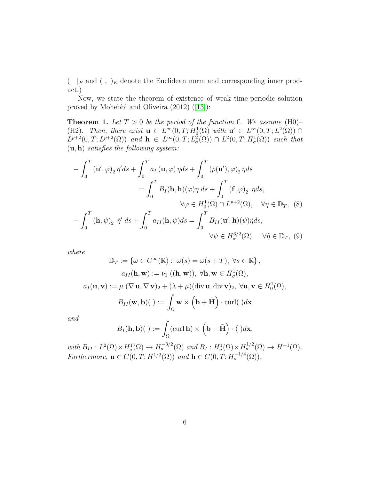$(|\ \ |_E$  and  $(\ ,\ )_E$  denote the Euclidean norm and corresponding inner product.)

Now, we state the theorem of existence of weak time-periodic solution proved by Mohebbi and Oliveira (2012) ([\[13\]](#page-22-5)):

**Theorem 1.** Let  $T > 0$  be the period of the function **f**. We assume (H0)– (H2)*.* Then, there exist  $\mathbf{u} \in L^{\infty}(0,T; H_0^1(\Omega))$  with  $\mathbf{u}' \in L^{\infty}(0,T; L^2(\Omega))$  $L^{p+2}(0,T;L^{p+2}(\Omega))$  and  $\mathbf{h} \in L^{\infty}(0,T;L^2_{\sigma}(\Omega)) \cap L^2(0,T;H^1_{\sigma}(\Omega))$  such that (u, h) *satisfies the following system:*

$$
-\int_0^T (\mathbf{u}', \varphi)_2 \eta' ds + \int_0^T a_I (\mathbf{u}, \varphi) \eta ds + \int_0^T (\rho(\mathbf{u}'), \varphi)_2 \eta ds
$$
  

$$
= \int_0^T B_I(\mathbf{h}, \mathbf{h})(\varphi) \eta ds + \int_0^T (\mathbf{f}, \varphi)_2 \eta ds,
$$
  

$$
\forall \varphi \in H_0^1(\Omega) \cap L^{p+2}(\Omega), \quad \forall \eta \in \mathbb{D}_T, (8)
$$
  

$$
-\int_0^T (\mathbf{h}, \psi)_2 \tilde{\eta}' ds + \int_0^T a_{II}(\mathbf{h}, \psi) ds = \int_0^T B_{II}(\mathbf{u}', \mathbf{h})(\psi) \tilde{\eta} ds,
$$
  

$$
\forall \psi \in H_{\sigma}^{3/2}(\Omega), \quad \forall \tilde{\eta} \in \mathbb{D}_T, (9)
$$

*where*

$$
\mathbb{D}_T := \{ \omega \in C^{\infty}(\mathbb{R}) : \omega(s) = \omega(s+T), \forall s \in \mathbb{R} \},
$$
  
\n
$$
a_{II}(\mathbf{h}, \mathbf{w}) := \nu_1 ((\mathbf{h}, \mathbf{w})), \forall \mathbf{h}, \mathbf{w} \in H^1_\sigma(\Omega),
$$
  
\n
$$
a_I(\mathbf{u}, \mathbf{v}) := \mu (\nabla \mathbf{u}, \nabla \mathbf{v})_2 + (\lambda + \mu)(\text{div } \mathbf{u}, \text{div } \mathbf{v})_2, \forall \mathbf{u}, \mathbf{v} \in H^1_0(\Omega),
$$
  
\n
$$
B_{II}(\mathbf{w}, \mathbf{b})(\ ) := \int_{\Omega} \mathbf{w} \times (\mathbf{b} + \tilde{\mathbf{H}}) \cdot \text{curl}(\ ) d\mathbf{x}
$$

*and*

$$
B_I(\mathbf{h},\mathbf{b})(\ ):=\int_{\Omega}(\operatorname{curl}\mathbf{h})\times\left(\mathbf{b}+\tilde{\mathbf{H}}\right)\cdot(\ )d\mathbf{x},
$$

with  $B_{II}: L^2(\Omega) \times H^1_\sigma(\Omega) \to H^{-3/2}_\sigma(\Omega)$  and  $B_I: H^1_\sigma(\Omega) \times H^{1/2}_\sigma(\Omega) \to H^{-1}(\Omega)$ . *Furthermore,*  $\mathbf{u} \in C(0, T; H^{1/2}(\Omega))$  *and*  $\mathbf{h} \in C(0, T; H^{-1/4}_{\sigma}(\Omega))$ *.*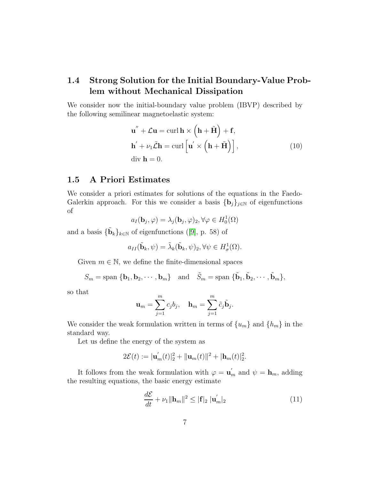## 1.4 Strong Solution for the Initial Boundary-Value Problem without Mechanical Dissipation

We consider now the initial-boundary value problem (IBVP) described by the following semilinear magnetoelastic system:

$$
\mathbf{u}'' + \mathcal{L}\mathbf{u} = \text{curl}\,\mathbf{h} \times (\mathbf{h} + \tilde{\mathbf{H}}) + \mathbf{f},
$$
  
\n
$$
\mathbf{h}' + \nu_1 \tilde{\mathcal{L}}\mathbf{h} = \text{curl}\left[\mathbf{u}' \times (\mathbf{h} + \tilde{\mathbf{H}})\right],
$$
  
\ndiv  $\mathbf{h} = 0.$  (10)

## 1.5 A Priori Estimates

We consider a priori estimates for solutions of the equations in the Faedo-Galerkin approach. For this we consider a basis  ${\{\mathbf{b}_j\}}_{j\in\mathbb{N}}$  of eigenfunctions of

$$
a_I(\mathbf{b}_j, \varphi) = \lambda_j(\mathbf{b}_j, \varphi)_2, \forall \varphi \in H_0^1(\Omega)
$$

and a basis  $\{\tilde{\mathbf{b}}_k\}_{k\in\mathbb{N}}$  of eigenfunctions ([\[9\]](#page-22-7), p. 58) of

$$
a_{II}(\tilde{\mathbf{b}}_k, \psi) = \tilde{\lambda}_k(\tilde{\mathbf{b}}_k, \psi)_2, \forall \psi \in H^1_\sigma(\Omega).
$$

Given  $m \in \mathbb{N}$ , we define the finite-dimensional spaces

$$
S_m = \text{span} \{ \mathbf{b}_1, \mathbf{b}_2, \cdots, \mathbf{b}_m \} \quad \text{and} \quad \tilde{S}_m = \text{span} \{ \tilde{\mathbf{b}}_1, \tilde{\mathbf{b}}_2, \cdots, \tilde{\mathbf{b}}_m \},
$$

so that

$$
\mathbf{u}_m = \sum_{j=1}^m c_j b_j, \quad \mathbf{h}_m = \sum_{j=1}^m \tilde{c}_j \tilde{\mathbf{b}}_j.
$$

We consider the weak formulation written in terms of  $\{u_m\}$  and  $\{h_m\}$  in the standard way.

Let us define the energy of the system as

$$
2\mathcal{E}(t) := |\mathbf{u}'_m(t)|_2^2 + ||\mathbf{u}_m(t)||^2 + |\mathbf{h}_m(t)|_2^2.
$$

It follows from the weak formulation with  $\varphi = \mathbf{u}'_m$  and  $\psi = \mathbf{h}_m$ , adding the resulting equations, the basic energy estimate

$$
\frac{d\mathcal{E}}{dt} + \nu_1 \|\mathbf{h}_m\|^2 \le |\mathbf{f}|_2 \|\mathbf{u}'_m\|_2 \tag{11}
$$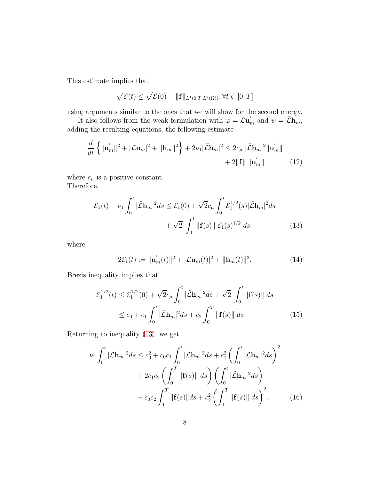This estimate implies that

$$
\sqrt{\mathcal{E}(t)} \le \sqrt{\mathcal{E}(0)} + \|\mathbf{f}\|_{L^1(0,T;L^2(\Omega))}, \forall t \in [0,T]
$$

using arguments similar to the ones that we will show for the second energy.

It also follows from the weak formulation with  $\varphi = \mathcal{L} \mathbf{u}'_m$  and  $\psi = \tilde{\mathcal{L}} \mathbf{h}_m$ , adding the resulting equations, the following estimate

$$
\frac{d}{dt}\left\{\|\mathbf{u}'_{m}\|^{2}+|\mathcal{L}\mathbf{u}_{m}|^{2}+\|\mathbf{h}_{m}\|^{2}\right\}+2\nu_{1}|\tilde{\mathcal{L}}\mathbf{h}_{m}|^{2}\leq 2c_{\mu}|\tilde{\mathcal{L}}\mathbf{h}_{m}|^{2}\|\mathbf{u}'_{m}\|+\n2\|\mathbf{f}\|\|\mathbf{u}'_{m}\|
$$
\n(12)

where  $c_\mu$  is a positive constant. Therefore,

$$
\mathcal{E}_1(t) + \nu_1 \int_0^t |\tilde{\mathcal{L}} \mathbf{h}_m|^2 ds \le \mathcal{E}_1(0) + \sqrt{2}c_\mu \int_0^t \mathcal{E}_1^{1/2}(s) |\tilde{\mathcal{L}} \mathbf{h}_m|^2 ds + \sqrt{2} \int_0^t ||\mathbf{f}(s)|| \mathcal{E}_1(s)^{1/2} ds
$$
(13)

where

<span id="page-7-1"></span><span id="page-7-0"></span>
$$
2\mathcal{E}_1(t) := \|\mathbf{u}'_m(t)\|^2 + |\mathcal{L}\mathbf{u}_m(t)|^2 + \|\mathbf{h}_m(t)\|^2.
$$
 (14)

Brezis inequality implies that

$$
\mathcal{E}_1^{1/2}(t) \le \mathcal{E}_1^{1/2}(0) + \sqrt{2}c_\mu \int_0^t |\tilde{\mathcal{L}}\mathbf{h}_m|^2 ds + \sqrt{2} \int_0^t ||\mathbf{f}(s)|| ds
$$
  
 
$$
\le c_0 + c_1 \int_0^t |\tilde{\mathcal{L}}\mathbf{h}_m|^2 ds + c_2 \int_0^T ||\mathbf{f}(s)|| ds
$$
 (15)

Returning to inequality [\(13\)](#page-7-0), we get

$$
\nu_1 \int_0^t |\tilde{\mathcal{L}} \mathbf{h}_m|^2 ds \le c_0^2 + c_0 c_1 \int_0^t |\tilde{\mathcal{L}} \mathbf{h}_m|^2 ds + c_1^2 \left( \int_0^t |\tilde{\mathcal{L}} \mathbf{h}_m|^2 ds \right)^2 + 2c_1 c_2 \left( \int_0^T \|\mathbf{f}(s)\| ds \right) \left( \int_0^t |\tilde{\mathcal{L}} \mathbf{h}_m|^2 ds \right) + c_0 c_2 \int_0^T \|\mathbf{f}(s)\| ds + c_2^2 \left( \int_0^T \|\mathbf{f}(s)\| ds \right)^2.
$$
 (16)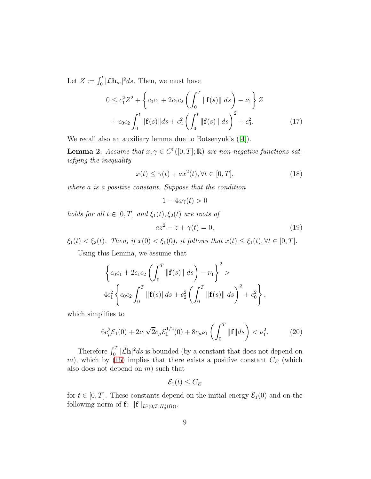Let  $Z := \int_0^t |\tilde{\mathcal{L}} \mathbf{h}_m|^2 ds$ . Then, we must have

$$
0 \le c_1^2 Z^2 + \left\{ c_0 c_1 + 2c_1 c_2 \left( \int_0^T ||\mathbf{f}(s)|| ds \right) - \nu_1 \right\} Z + c_0 c_2 \int_0^t ||\mathbf{f}(s)|| ds + c_2^2 \left( \int_0^t ||\mathbf{f}(s)|| ds \right)^2 + c_0^2.
$$
 (17)

We recall also an auxiliary lemma due to Botsenyuk's ([\[4\]](#page-22-1)).

**Lemma 2.** *Assume that*  $x, \gamma \in C^0([0, T]; \mathbb{R})$  *are non-negative functions satisfying the inequality*

$$
x(t) \le \gamma(t) + ax^2(t), \forall t \in [0, T], \tag{18}
$$

*where* a *is a positive constant. Suppose that the condition*

$$
1 - 4a\gamma(t) > 0
$$

*holds for all*  $t \in [0, T]$  *and*  $\xi_1(t), \xi_2(t)$  *are roots of* 

$$
az^2 - z + \gamma(t) = 0,\t\t(19)
$$

 $\xi_1(t) < \xi_2(t)$ *. Then, if*  $x(0) < \xi_1(0)$ *, it follows that*  $x(t) \le \xi_1(t)$ ,  $\forall t \in [0, T]$ *.* 

Using this Lemma, we assume that

$$
\left\{c_0c_1 + 2c_1c_2 \left(\int_0^T \|\mathbf{f}(s)\| ds\right) - \nu_1\right\}^2 >
$$
  
 
$$
4c_1^2 \left\{c_0c_2 \int_0^T \|\mathbf{f}(s)\| ds + c_2^2 \left(\int_0^T \|\mathbf{f}(s)\| ds\right)^2 + c_0^2\right\},\
$$

which simplifies to

$$
6c_{\mu}^{2}\mathcal{E}_{1}(0) + 2\nu_{1}\sqrt{2}c_{\mu}\mathcal{E}_{1}^{1/2}(0) + 8c_{\mu}\nu_{1}\left(\int_{0}^{T} \|\mathbf{f}\|ds\right) < \nu_{1}^{2}.\tag{20}
$$

Therefore  $\int_0^T |\tilde{\mathcal{L}} \mathbf{h}|^2 ds$  is bounded (by a constant that does not depend on m), which by [\(15\)](#page-7-1) implies that there exists a positive constant  $C_E$  (which also does not depend on  $m$ ) such that

<span id="page-8-0"></span>
$$
\mathcal{E}_1(t) \leq C_E
$$

for  $t \in [0, T]$ . These constants depend on the initial energy  $\mathcal{E}_1(0)$  and on the following norm of  $\mathbf{f}: \| \mathbf{f} \|_{L^1(0,T;H^1_0(\Omega))}$ .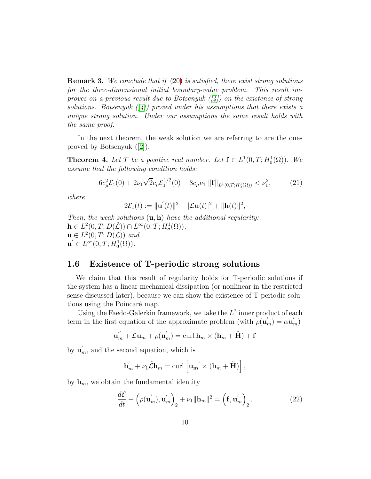Remark 3. *We conclude that if* [\(20\)](#page-8-0) *is satisfied, there exist strong solutions for the three-dimensional initial boundary-value problem. This result improves on a previous result due to Botsenyuk ([\[4\]](#page-22-1)) on the existence of strong solutions. Botsenyuk ([\[4\]](#page-22-1)) proved under his assumptions that there exists a unique strong solution. Under our assumptions the same result holds with the same proof.*

In the next theorem, the weak solution we are referring to are the ones proved by Botsenyuk ([\[2\]](#page-21-0)).

**Theorem 4.** Let T be a positive real number. Let  $f \in L^1(0,T; H_0^1(\Omega))$ . We *assume that the following condition holds:*

$$
6c_{\mu}^{2}\mathcal{E}_{1}(0) + 2\nu_{1}\sqrt{2}c_{\mu}\mathcal{E}_{1}^{1/2}(0) + 8c_{\mu}\nu_{1} \|\mathbf{f}\|_{L^{1}(0,T;H_{0}^{1}(\Omega))} < \nu_{1}^{2}, \tag{21}
$$

*where*

<span id="page-9-0"></span>
$$
2\mathcal{E}_1(t) := \|\mathbf{u}'(t)\|^2 + |\mathcal{L}\mathbf{u}(t)|^2 + \|\mathbf{h}(t)\|^2,
$$

*Then, the weak solutions* (u, h) *have the additional regularity:*  $\mathbf{h} \in L^2(0,T;D(\tilde{\mathcal{L}})) \cap L^{\infty}(0,T;H^1_{\sigma}(\Omega)),$  $\mathbf{u} \in L^2(0,T;D(\mathcal{L}))$  and  $\mathbf{u}' \in L^{\infty}(0,T; \dot{H}_0^1(\Omega)).$ 

## 1.6 Existence of T-periodic strong solutions

We claim that this result of regularity holds for T-periodic solutions if the system has a linear mechanical dissipation (or nonlinear in the restricted sense discussed later), because we can show the existence of T-periodic solutions using the Poincaré map.

Using the Faedo-Galerkin framework, we take the  $L^2$  inner product of each term in the first equation of the approximate problem (with  $\rho(\mathbf{u}'_m) = \alpha \mathbf{u}'_m$ )

$$
\mathbf{u}_{m}^{''} + \mathcal{L}\mathbf{u}_{m} + \rho(\mathbf{u}_{m}') = \operatorname{curl} \mathbf{h}_{m} \times (\mathbf{h}_{m} + \tilde{\mathbf{H}}) + \mathbf{f}
$$

by  $\mathbf{u}'_m$ , and the second equation, which is

$$
\mathbf{h}'_m + \nu_1 \tilde{\mathcal{L}} \mathbf{h}_m = \operatorname{curl} \left[ \mathbf{u_m}' \times (\mathbf{h}_m + \tilde{\mathbf{H}}) \right],
$$

by  $\mathbf{h}_m$ , we obtain the fundamental identity

$$
\frac{d\mathcal{E}}{dt} + \left(\rho(\mathbf{u}'_m), \mathbf{u}'_m\right)_2 + \nu_1 \|\mathbf{h}_m\|^2 = \left(\mathbf{f}, \mathbf{u}'_m\right)_2. \tag{22}
$$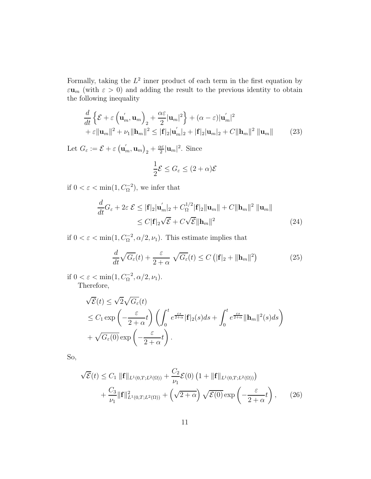Formally, taking the  $L^2$  inner product of each term in the first equation by  $\varepsilon \mathbf{u}_m$  (with  $\varepsilon > 0$ ) and adding the result to the previous identity to obtain the following inequality

$$
\frac{d}{dt}\left\{\mathcal{E}+\varepsilon\left(\mathbf{u}'_m,\mathbf{u}_m\right)_2+\frac{\alpha\varepsilon}{2}|\mathbf{u}_m|^2\right\}+(\alpha-\varepsilon)|\mathbf{u}'_m|^2
$$
\n
$$
+\varepsilon||\mathbf{u}_m||^2+\nu_1||\mathbf{h}_m||^2\leq |\mathbf{f}|_2|\mathbf{u}'_m|_2+|\mathbf{f}|_2|\mathbf{u}_m|_2+C||\mathbf{h}_m||^2||\mathbf{u}_m||\tag{23}
$$

Let  $G_{\varepsilon} := \mathcal{E} + \varepsilon \left( \mathbf{u}'_m, \mathbf{u}_m \right)_2 + \frac{\alpha \varepsilon}{2}$  $\frac{\alpha \varepsilon}{2}|\mathbf{u}_m|^2$ . Since

$$
\frac{1}{2}\mathcal{E} \le G_{\varepsilon} \le (2+\alpha)\mathcal{E}
$$

if  $0 < \varepsilon < \min(1, C_{\Omega}^{-2})$ , we infer that

$$
\frac{d}{dt}G_{\varepsilon} + 2\varepsilon \mathcal{E} \le |\mathbf{f}|_2 |\mathbf{u}'_m|_2 + C_{\Omega}^{1/2} |\mathbf{f}|_2 ||\mathbf{u}_m|| + C ||\mathbf{h}_m||^2 ||\mathbf{u}_m||
$$
\n
$$
\le C |\mathbf{f}|_2 \sqrt{\mathcal{E}} + C \sqrt{\mathcal{E}} ||\mathbf{h}_m||^2 \tag{24}
$$

if  $0 < \varepsilon < \min(1, C_0^{-2}, \alpha/2, \nu_1)$ . This estimate implies that

$$
\frac{d}{dt}\sqrt{G_{\varepsilon}}(t) + \frac{\varepsilon}{2+\alpha}\sqrt{G_{\varepsilon}}(t) \le C\left(\left|\mathbf{f}\right|_{2} + \|\mathbf{h}_{m}\|^{2}\right) \tag{25}
$$

if  $0 < \varepsilon < \min(1, C_{\Omega}^{-2}, \alpha/2, \nu_1)$ . Therefore,

$$
\sqrt{\mathcal{E}}(t) \leq \sqrt{2}\sqrt{G_{\varepsilon}}(t)
$$
  
\n
$$
\leq C_1 \exp\left(-\frac{\varepsilon}{2+\alpha}t\right) \left(\int_0^t e^{\frac{\varepsilon s}{2+\alpha}} |\mathbf{f}|_2(s) ds + \int_0^t e^{\frac{\varepsilon s}{2+\alpha}} \|\mathbf{h}_m\|^2(s) ds\right)
$$
  
\n
$$
+ \sqrt{G_{\varepsilon}(0)} \exp\left(-\frac{\varepsilon}{2+\alpha}t\right).
$$

So,

$$
\sqrt{\mathcal{E}}(t) \leq C_1 \| \mathbf{f} \|_{L^1(0,T;L^2(\Omega))} + \frac{C_2}{\nu_1} \mathcal{E}(0) \left( 1 + \| \mathbf{f} \|_{L^1(0,T;L^2(\Omega))} \right) + \frac{C_3}{\nu_1} \| \mathbf{f} \|_{L^1(0,T;L^2(\Omega))}^2 + \left( \sqrt{2 + \alpha} \right) \sqrt{\mathcal{E}(0)} \exp \left( -\frac{\varepsilon}{2 + \alpha} t \right), \qquad (26)
$$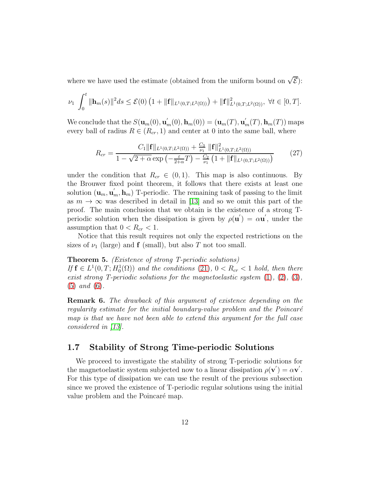where we have used the estimate (obtained from the uniform bound on  $\sqrt{\mathcal{E}}$ ):

$$
\nu_1 \int_0^t \|\mathbf{h}_m(s)\|^2 ds \le \mathcal{E}(0) \left(1 + \|\mathbf{f}\|_{L^1(0,T;L^2(\Omega))}\right) + \|\mathbf{f}\|_{L^1(0,T;L^2(\Omega))}^2, \ \forall t \in [0,T].
$$

We conclude that the  $S(\mathbf{u}_m(0), \mathbf{u}'_m(0), \mathbf{h}_m(0)) = (\mathbf{u}_m(T), \mathbf{u}'_m(T), \mathbf{h}_m(T))$  maps every ball of radius  $R \in (R_{cr}, 1)$  and center at 0 into the same ball, where

$$
R_{cr} = \frac{C_1 \|\mathbf{f}\|_{L^1(0,T;L^2(\Omega))} + \frac{C_3}{\nu_1} \|\mathbf{f}\|_{L^1(0,T;L^2(\Omega))}^2}{1 - \sqrt{2 + \alpha} \exp\left(-\frac{\varepsilon}{2 + \alpha} T\right) - \frac{C_2}{\nu_1} \left(1 + \|\mathbf{f}\|_{L^1(0,T;L^2(\Omega))}\right)} \tag{27}
$$

under the condition that  $R_{cr} \in (0,1)$ . This map is also continuous. By the Brouwer fixed point theorem, it follows that there exists at least one solution  $(\mathbf{u}_m, \mathbf{u}'_m, \mathbf{h}_m)$  T-periodic. The remaining task of passing to the limit as  $m \to \infty$  was described in detail in [\[13\]](#page-22-5) and so we omit this part of the proof. The main conclusion that we obtain is the existence of a strong Tperiodic solution when the dissipation is given by  $\rho(\mathbf{u}') = \alpha \mathbf{u}'$ , under the assumption that  $0 < R_{cr} < 1$ .

Notice that this result requires not only the expected restrictions on the sizes of  $\nu_1$  (large) and **f** (small), but also T not too small.

#### Theorem 5. *(Existence of strong T-periodic solutions)*

*If*  $f \in L^1(0, T; H_0^1(\Omega))$  *and the conditions* [\(21\)](#page-9-0)*,*  $0 < R_{cr} < 1$  *hold, then there exist strong T-periodic solutions for the magnetoelastic system* [\(1\)](#page-1-0)*,* [\(2\)](#page-1-4)*,* [\(3\)](#page-1-1)*,* [\(5\)](#page-1-5) *and* [\(6\)](#page-1-3)*.*

Remark 6. *The drawback of this argument of existence depending on the regularity estimate for the initial boundary-value problem and the Poincaré map is that we have not been able to extend this argument for the full case considered in [\[13\]](#page-22-5).*

## 1.7 Stability of Strong Time-periodic Solutions

We proceed to investigate the stability of strong T-periodic solutions for the magnetoelastic system subjected now to a linear dissipation  $\rho(\mathbf{v}') = \alpha \mathbf{v}'$ . For this type of dissipation we can use the result of the previous subsection since we proved the existence of T-periodic regular solutions using the initial value problem and the Poincaré map.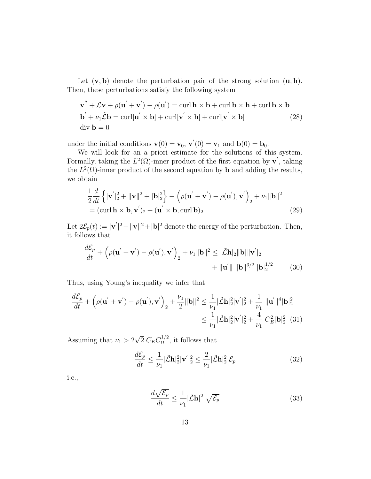Let  $(v, b)$  denote the perturbation pair of the strong solution  $(u, h)$ . Then, these perturbations satisfy the following system

<span id="page-12-0"></span>
$$
\mathbf{v}'' + \mathcal{L}\mathbf{v} + \rho(\mathbf{u}' + \mathbf{v}') - \rho(\mathbf{u}') = \operatorname{curl} \mathbf{h} \times \mathbf{b} + \operatorname{curl} \mathbf{b} \times \mathbf{h} + \operatorname{curl} \mathbf{b} \times \mathbf{b}
$$
  
\n
$$
\mathbf{b}' + \nu_1 \tilde{\mathcal{L}} \mathbf{b} = \operatorname{curl}[\mathbf{u}' \times \mathbf{b}] + \operatorname{curl}[\mathbf{v}' \times \mathbf{h}] + \operatorname{curl}[\mathbf{v}' \times \mathbf{b}]
$$
 (28)  
\n
$$
\operatorname{div} \mathbf{b} = 0
$$

under the initial conditions  $\mathbf{v}(0) = \mathbf{v}_0$ ,  $\mathbf{v}'(0) = \mathbf{v}_1$  and  $\mathbf{b}(0) = \mathbf{b}_0$ .

We will look for an a priori estimate for the solutions of this system. Formally, taking the  $L^2(\Omega)$ -inner product of the first equation by  $\mathbf{v}'$ , taking the  $L^2(\Omega)$ -inner product of the second equation by **b** and adding the results, we obtain

$$
\frac{1}{2}\frac{d}{dt}\left\{|\mathbf{v}'|_{2}^{2} + \|\mathbf{v}\|^{2} + |\mathbf{b}|_{2}^{2}\right\} + \left(\rho(\mathbf{u}' + \mathbf{v}') - \rho(\mathbf{u}'), \mathbf{v}'\right)_{2} + \nu_{1} \|\mathbf{b}\|^{2}
$$
\n
$$
= (\text{curl}\,\mathbf{h} \times \mathbf{b}, \mathbf{v}')_{2} + (\mathbf{u}' \times \mathbf{b}, \text{curl}\,\mathbf{b})_{2} \tag{29}
$$

Let  $2\mathcal{E}_p(t) := |\mathbf{v}'|^2 + ||\mathbf{v}||^2 + |\mathbf{b}|^2$  denote the energy of the perturbation. Then, it follows that

$$
\frac{d\mathcal{E}_p}{dt} + \left(\rho(\mathbf{u}' + \mathbf{v}') - \rho(\mathbf{u}'), \mathbf{v}'\right)_2 + \nu_1 \|\mathbf{b}\|^2 \leq |\tilde{\mathcal{L}}\mathbf{h}|_2 \|\mathbf{b}\| \|\mathbf{v}'\|_2
$$
  
+  $\|\mathbf{u}'\| \|\mathbf{b}\|^{3/2} \|\mathbf{b}\|_2^{1/2}$  (30)

Thus, using Young's inequality we infer that

$$
\frac{d\mathcal{E}_p}{dt} + \left(\rho(\mathbf{u}' + \mathbf{v}') - \rho(\mathbf{u}'), \mathbf{v}'\right)_2 + \frac{\nu_1}{2} \|\mathbf{b}\|^2 \le \frac{1}{\nu_1} |\tilde{\mathbf{L}}\mathbf{h}|_2^2 |\mathbf{v}'|_2^2 + \frac{1}{\nu_1} \|\mathbf{u}'\|^4 |\mathbf{b}|_2^2
$$
  

$$
\le \frac{1}{\nu_1} |\tilde{\mathbf{L}}\mathbf{h}|_2^2 |\mathbf{v}'|_2^2 + \frac{4}{\nu_1} C_E^2 |\mathbf{b}|_2^2 \tag{31}
$$

Assuming that  $\nu_1 > 2\sqrt{2} C_E C_{\Omega}^{1/2}$  $\Omega^{1/2}$ , it follows that

$$
\frac{d\mathcal{E}_p}{dt} \le \frac{1}{\nu_1} |\tilde{\mathcal{L}}\mathbf{h}|_2^2 |\mathbf{v}'|_2^2 \le \frac{2}{\nu_1} |\tilde{\mathcal{L}}\mathbf{h}|_2^2 \mathcal{E}_p \tag{32}
$$

i.e.,

<span id="page-12-1"></span>
$$
\frac{d\sqrt{\mathcal{E}_p}}{dt} \le \frac{1}{\nu_1} |\tilde{\mathcal{L}}\mathbf{h}|^2 \sqrt{\mathcal{E}_p}
$$
\n(33)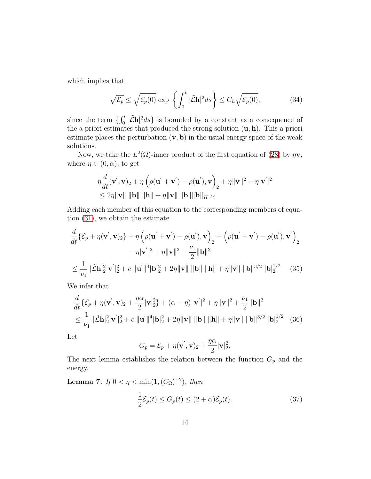which implies that

$$
\sqrt{\mathcal{E}_p} \le \sqrt{\mathcal{E}_p(0)} \exp\left\{ \int_0^t |\tilde{\mathcal{L}} \mathbf{h}|^2 ds \right\} \le C_h \sqrt{\mathcal{E}_p(0)},\tag{34}
$$

since the term  $\{\int_0^t |\tilde{\mathcal{L}}\mathbf{h}|^2 ds\}$  is bounded by a constant as a consequence of the a priori estimates that produced the strong solution  $(\mathbf{u}, \mathbf{h})$ . This a priori estimate places the perturbation  $(v, b)$  in the usual energy space of the weak solutions.

Now, we take the  $L^2(\Omega)$ -inner product of the first equation of [\(28\)](#page-12-0) by  $\eta v$ , where  $\eta \in (0, \alpha)$ , to get

$$
\eta \frac{d}{dt}(\mathbf{v}', \mathbf{v})_2 + \eta \left( \rho(\mathbf{u}' + \mathbf{v}') - \rho(\mathbf{u}'), \mathbf{v} \right)_2 + \eta \|\mathbf{v}\|^2 - \eta \|\mathbf{v}'\|^2
$$
  
\$\leq 2\eta \|\mathbf{v}\| \|\mathbf{b}\| \|\mathbf{h}\| + \eta \|\mathbf{v}\| \|\mathbf{b}\| \|\mathbf{b}\|\_{H^{1/2}}

Adding each member of this equation to the corresponding members of equation [\(31\)](#page-12-1), we obtain the estimate

$$
\frac{d}{dt}\{\mathcal{E}_p + \eta(\mathbf{v}', \mathbf{v})_2\} + \eta \left(\rho(\mathbf{u}' + \mathbf{v}') - \rho(\mathbf{u}'), \mathbf{v}\right)_2 + \left(\rho(\mathbf{u}' + \mathbf{v}') - \rho(\mathbf{u}'), \mathbf{v}'\right)_2 \n- \eta|\mathbf{v}'|^2 + \eta\|\mathbf{v}\|^2 + \frac{\nu_1}{2}\|\mathbf{b}\|^2 \n\le \frac{1}{\nu_1} \|\tilde{\mathcal{L}}\mathbf{h}\|_2^2 \|\mathbf{v}'\|_2^2 + c \|\mathbf{u}'\|^4 \|\mathbf{b}\|_2^2 + 2\eta\|\mathbf{v}\| \|\mathbf{b}\| \|\mathbf{h}\| + \eta\|\mathbf{v}\| \|\mathbf{b}\|^{3/2} \|\mathbf{b}\|_2^{1/2}
$$
\n(35)

We infer that

$$
\frac{d}{dt}\{\mathcal{E}_p + \eta(\mathbf{v}', \mathbf{v})_2 + \frac{\eta \alpha}{2} |\mathbf{v}|_2^2\} + (\alpha - \eta) |\mathbf{v}'|^2 + \eta ||\mathbf{v}||^2 + \frac{\nu_1}{2} ||\mathbf{b}||^2
$$
\n
$$
\leq \frac{1}{\nu_1} |\tilde{\mathcal{L}}\mathbf{h}|_2^2 |\mathbf{v}'|_2^2 + c ||\mathbf{u}'||^4 |\mathbf{b}|_2^2 + 2\eta ||\mathbf{v}|| ||\mathbf{b}|| ||\mathbf{h}|| + \eta ||\mathbf{v}|| ||\mathbf{b}||^{3/2} |\mathbf{b}|_2^{1/2} \tag{36}
$$

Let

$$
G_p = \mathcal{E}_p + \eta(\mathbf{v}', \mathbf{v})_2 + \frac{\eta \alpha}{2} |\mathbf{v}|_2^2.
$$

The next lemma establishes the relation between the function  $G_p$  and the energy.

**Lemma 7.** *If*  $0 < η < min(1, (C<sub>Ω</sub>)<sup>-2</sup>)$ *, then* 

$$
\frac{1}{2}\mathcal{E}_p(t) \le G_p(t) \le (2+\alpha)\mathcal{E}_p(t). \tag{37}
$$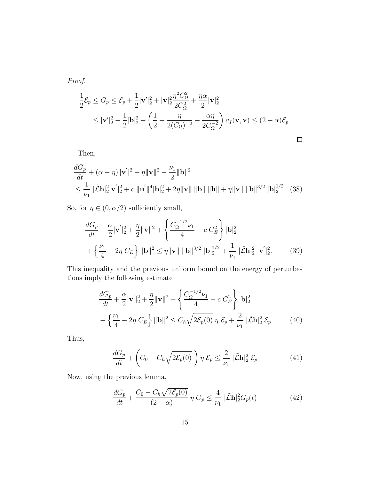*Proof.*

$$
\frac{1}{2}\mathcal{E}_p \le G_p \le \mathcal{E}_p + \frac{1}{2}|\mathbf{v}'|_2^2 + |\mathbf{v}|_2^2 \frac{\eta^2 C_\Omega^2}{2C_\Omega^2} + \frac{\eta \alpha}{2}|\mathbf{v}|_2^2
$$
\n
$$
\le |\mathbf{v}'|_2^2 + \frac{1}{2}|\mathbf{b}|_2^2 + \left(\frac{1}{2} + \frac{\eta}{2(C_\Omega)^{-2}} + \frac{\alpha \eta}{2C_\Omega^{-2}}\right) a_I(\mathbf{v}, \mathbf{v}) \le (2 + \alpha)\mathcal{E}_p.
$$

Then,

$$
\frac{dG_p}{dt} + (\alpha - \eta) |\mathbf{v}'|^2 + \eta ||\mathbf{v}||^2 + \frac{\nu_1}{2} ||\mathbf{b}||^2
$$
\n
$$
\leq \frac{1}{\nu_1} |\tilde{\mathbf{L}} \mathbf{h}|_2^2 |\mathbf{v}'|_2^2 + c ||\mathbf{u}'||^4 |\mathbf{b}|_2^2 + 2\eta ||\mathbf{v}|| ||\mathbf{b}|| ||\mathbf{h}|| + \eta ||\mathbf{v}|| ||\mathbf{b}||^{3/2} |\mathbf{b}|_2^{1/2} \tag{38}
$$

So, for  $\eta \in (0, \alpha/2)$  sufficiently small,

$$
\frac{dG_p}{dt} + \frac{\alpha}{2} |\mathbf{v}'|_2^2 + \frac{\eta}{2} ||\mathbf{v}||^2 + \left\{ \frac{C_{\Omega}^{-1/2} \nu_1}{4} - c \ C_E^2 \right\} |\mathbf{b}|_2^2
$$

$$
+ \left\{ \frac{\nu_1}{4} - 2\eta \ C_E \right\} ||\mathbf{b}||^2 \le \eta ||\mathbf{v}|| ||\mathbf{b}||^{3/2} |\mathbf{b}|_2^{1/2} + \frac{1}{\nu_1} |\tilde{\mathcal{L}} \mathbf{h}|_2^2 |\mathbf{v}'|_2^2. \tag{39}
$$

This inequality and the previous uniform bound on the energy of perturbations imply the following estimate

$$
\frac{dG_p}{dt} + \frac{\alpha}{2} |\mathbf{v}'|_2^2 + \frac{\eta}{2} ||\mathbf{v}||^2 + \left\{ \frac{C_{\Omega}^{-1/2} \nu_1}{4} - c \ C_E^2 \right\} |\mathbf{b}|_2^2
$$

$$
+ \left\{ \frac{\nu_1}{4} - 2\eta \ C_E \right\} ||\mathbf{b}||^2 \le C_h \sqrt{2\mathcal{E}_p(0)} \ \eta \ \mathcal{E}_p + \frac{2}{\nu_1} ||\tilde{\mathbf{L}}\mathbf{h}|_2^2 \ \mathcal{E}_p \tag{40}
$$

Thus,

$$
\frac{dG_p}{dt} + \left(C_0 - C_h\sqrt{2\mathcal{E}_p(0)}\right)\eta \mathcal{E}_p \le \frac{2}{\nu_1} |\tilde{\mathcal{L}}\mathbf{h}|_2^2 \mathcal{E}_p \tag{41}
$$

Now, using the previous lemma,

$$
\frac{dG_p}{dt} + \frac{C_0 - C_h \sqrt{2\mathcal{E}_p(0)}}{(2+\alpha)} \eta G_p \le \frac{4}{\nu_1} |\tilde{\mathcal{L}}\mathbf{h}|_2^2 G_p(t) \tag{42}
$$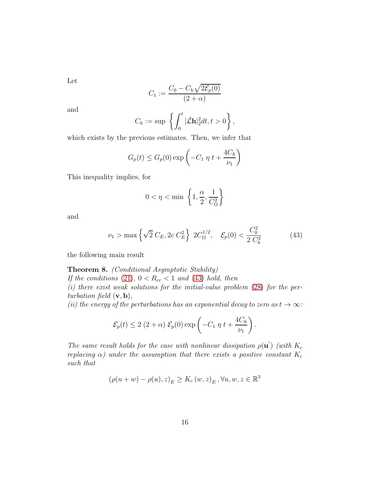Let

$$
C_1 := \frac{C_0 - C_h \sqrt{2 \mathcal{E}_p(0)}}{(2+\alpha)}
$$

and

$$
C_h := \sup \left\{ \int_0^t |\tilde{\mathcal{L}} \mathbf{h}|_2^2 dt, t > 0 \right\},\,
$$

which exists by the previous estimates. Then, we infer that

$$
G_p(t) \le G_p(0) \exp\left(-C_1 \eta t + \frac{4C_h}{\nu_1}\right)
$$

This inequality implies, for

<span id="page-15-0"></span>
$$
0<\eta<\min\ \left\{1,\frac{\alpha}{2},\frac{1}{C_\Omega^2}\right\}
$$

and

$$
\nu_1 > \max\left\{\sqrt{2} C_E, 2c C_E^2\right\} 2C_{\Omega}^{1/2}, \quad \mathcal{E}_p(0) < \frac{C_0^2}{2 C_h^2} \tag{43}
$$

the following main result

#### Theorem 8. *(Conditional Asymptotic Stability)*

*If the conditions* [\(21\)](#page-9-0),  $0 < R_{cr} < 1$  *and* [\(43\)](#page-15-0) *hold, then* 

*(i) there exist weak solutions for the initial-value problem* [\(28\)](#page-12-0) *for the perturbation field* (v, b)*,*

*(ii) the energy of the perturbations has an exponential decay to zero as*  $t \to \infty$ *:* 

$$
\mathcal{E}_p(t) \leq 2 (2+\alpha) \mathcal{E}_p(0) \exp \left(-C_1 \eta t + \frac{4C_h}{\nu_1}\right).
$$

*The same result holds for the case with nonlinear dissipation*  $\rho(\mathbf{u}')$  *(with*  $K_c$ *replacing*  $\alpha$ *)* under the assumption that there exists a positive constant  $K_c$ *such that*

$$
(\rho(u+w) - \rho(u), z)_E \ge K_c(w, z)_E, \forall u, w, z \in \mathbb{R}^3
$$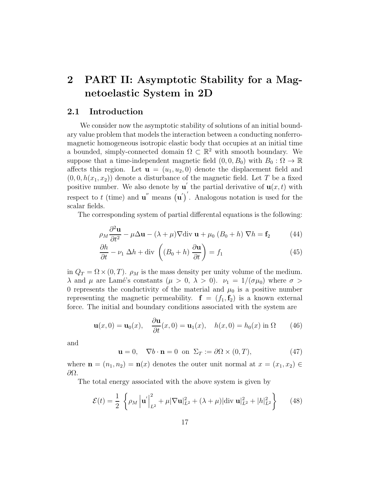## 2 PART II: Asymptotic Stability for a Magnetoelastic System in 2D

### 2.1 Introduction

We consider now the asymptotic stability of solutions of an initial boundary value problem that models the interaction between a conducting nonferromagnetic homogeneous isotropic elastic body that occupies at an initial time a bounded, simply-connected domain  $\Omega \subset \mathbb{R}^2$  with smooth boundary. We suppose that a time-independent magnetic field  $(0, 0, B_0)$  with  $B_0 : \Omega \to \mathbb{R}$ affects this region. Let  $\mathbf{u} = (u_1, u_2, 0)$  denote the displacement field and  $(0, 0, h(x_1, x_2))$  denote a disturbance of the magnetic field. Let T be a fixed positive number. We also denote by  $\mathbf{u}'$  the partial derivative of  $\mathbf{u}(x,t)$  with respect to t (time) and  $\mathbf{u}''$  means  $(\mathbf{u}')'$ . Analogous notation is used for the scalar fields.

The corresponding system of partial differental equations is the following:

<span id="page-16-0"></span>
$$
\rho_M \frac{\partial^2 \mathbf{u}}{\partial t^2} - \mu \Delta \mathbf{u} - (\lambda + \mu) \nabla \text{div } \mathbf{u} + \mu_0 \left( B_0 + h \right) \nabla h = \mathbf{f}_2 \tag{44}
$$

<span id="page-16-1"></span>
$$
\frac{\partial h}{\partial t} - \nu_1 \ \Delta h + \text{div} \ \left( (B_0 + h) \ \frac{\partial \mathbf{u}}{\partial t} \right) = f_1 \tag{45}
$$

in  $Q_T = \Omega \times (0, T)$ .  $\rho_M$  is the mass density per unity volume of the medium.  $\lambda$  and  $\mu$  are Lamé's constants  $(\mu > 0, \lambda > 0)$ .  $\nu_1 = 1/(\sigma \mu_0)$  where  $\sigma >$ 0 represents the conductivity of the material and  $\mu_0$  is a positive number representing the magnetic permeability.  $f = (f_1, f_2)$  is a known external force. The initial and boundary conditions associated with the system are

$$
\mathbf{u}(x,0) = \mathbf{u}_0(x), \quad \frac{\partial \mathbf{u}}{\partial t}(x,0) = \mathbf{u}_1(x), \quad h(x,0) = h_0(x) \text{ in } \Omega \tag{46}
$$

and

$$
\mathbf{u} = 0, \quad \nabla b \cdot \mathbf{n} = 0 \text{ on } \Sigma_T := \partial \Omega \times (0, T), \tag{47}
$$

where  $\mathbf{n} = (n_1, n_2) = \mathbf{n}(x)$  denotes the outer unit normal at  $x = (x_1, x_2) \in$ ∂Ω.

The total energy associated with the above system is given by

<span id="page-16-2"></span>
$$
\mathcal{E}(t) = \frac{1}{2} \left\{ \rho_M \left| \mathbf{u}' \right|_{L^2}^2 + \mu |\nabla \mathbf{u}|_{L^2}^2 + (\lambda + \mu) |\text{div } \mathbf{u}|_{L^2}^2 + |h|_{L^2}^2 \right\} \tag{48}
$$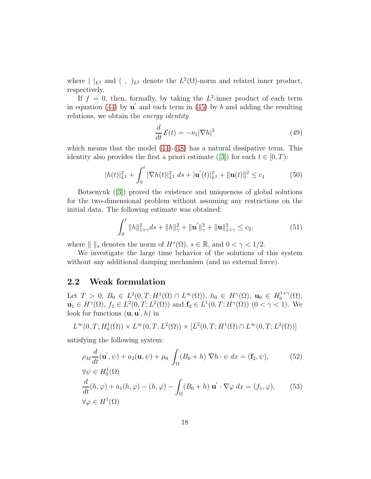where  $| \ |_{{L^2}}$  and  $( \ , \ )_{L^2}$  denote the  $L^2(\Omega)$ -norm and related inner product, respectively.

If  $f = 0$ , then, formally, by taking the  $L^2$ -inner product of each term in equation [\(44\)](#page-16-0) by  $\mathbf{u}'$  and each term in [\(45\)](#page-16-1) by b and adding the resulting relations, we obtain the *energy identity*

$$
\frac{d}{dt}\mathcal{E}(t) = -\nu_1 |\nabla h|^2 \tag{49}
$$

which means that the model  $(44)-(48)$  $(44)-(48)$  has a natural dissipative term. This identity also provides the first a priori estimate ([\[3\]](#page-21-2)) for each  $t \in [0, T)$ :

$$
|h(t)|_{L^2}^2 + \int_0^t |\nabla h(t)|_{L^2}^2 ds + |\mathbf{u}'(t)|_{L^2}^2 + ||\mathbf{u}(t)||^2 \le c_1
$$
 (50)

Botsenyuk ([\[3\]](#page-21-2)) proved the existence and uniqueness of global solutions for the two-dimensional problem without assuming any restrictions on the initial data. The following estimate was obtained:

$$
\int_0^t \|h\|_{1+\gamma}^2 ds + \|h\|_{\gamma}^2 + \|\mathbf{u}'\|_{\gamma}^2 + \|\mathbf{u}\|_{1+\gamma}^2 \le c_2,
$$
\n(51)

where  $\| \ \|_s$  denotes the norm of  $H^s(\Omega)$ ,  $s \in \mathbb{R}$ , and  $0 < \gamma < 1/2$ .

We investigate the large time behavior of the solutions of this system without any additional damping mechanism (and no external force).

## 2.2 Weak formulation

Let  $T > 0$ ,  $B_0 \in L^2(0,T; H^1(\Omega) \cap L^{\infty}(\Omega))$ ,  $h_0 \in H^{\gamma}(\Omega)$ ,  $\mathbf{u}_0 \in H_0^{1+\gamma}$  $\Omega_0^{1+\gamma}(\Omega),$  $\mathbf{u}_1 \in H^{\gamma}(\Omega)$ ,  $f_1 \in L^2(0,T; L^2(\Omega))$  and  $\mathbf{f}_2 \in L^1(0,T; H^{\gamma}(\Omega))$   $(0 < \gamma < 1)$ . We look for functions  $(\mathbf{u}, \mathbf{u}', h)$  in

$$
L^{\infty}(0,T; H_0^1(\Omega)) \times L^{\infty}(0,T; L^2(\Omega)) \times [L^2(0,T; H^1(\Omega) \cap L^{\infty}(0,T; L^2(\Omega))]
$$

satisfying the following system:

<span id="page-17-0"></span>
$$
\rho_M \frac{d}{dt}(\mathbf{u}', \psi) + a_2(\mathbf{u}, \psi) + \mu_0 \int_{\Omega} (B_0 + h) \nabla h \cdot \psi \, dx = (\mathbf{f}_2, \psi), \tag{52}
$$
  

$$
\forall \psi \in H_0^1(\Omega)
$$

<span id="page-17-1"></span>
$$
\frac{d}{dt}(h,\varphi) + a_1(h,\varphi) - (h,\varphi) - \int_{\Omega} (B_0 + h) \mathbf{u}' \cdot \nabla \varphi \, dx = (f_1, \varphi), \qquad (53)
$$
  

$$
\forall \varphi \in H^1(\Omega)
$$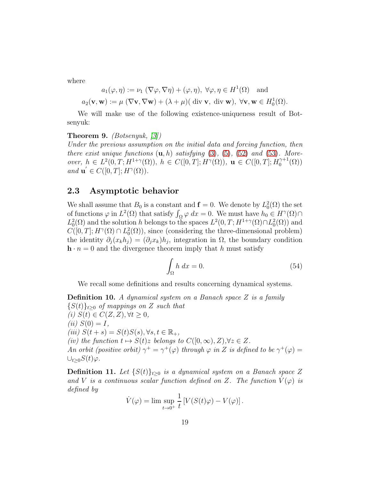where

$$
a_1(\varphi, \eta) := \nu_1 \left( \nabla \varphi, \nabla \eta \right) + (\varphi, \eta), \ \forall \varphi, \eta \in H^1(\Omega) \text{ and}
$$

$$
a_2(\mathbf{v}, \mathbf{w}) := \mu \left( \nabla \mathbf{v}, \nabla \mathbf{w} \right) + (\lambda + \mu) (\text{div } \mathbf{v}, \text{div } \mathbf{w}), \ \forall \mathbf{v}, \mathbf{w} \in H_0^1(\Omega).
$$

We will make use of the following existence-uniqueness result of Botsenyuk:

#### Theorem 9. *(Botsenyuk, [\[3\]](#page-21-2))*

*Under the previous assumption on the initial data and forcing function, then there exist unique functions*  $(u, h)$  *satisfying*  $(3)$ ,  $(5)$ ,  $(52)$  *and*  $(53)$ *. Moreover,*  $h \in L^2(0,T; H^{1+\gamma}(\Omega))$ ,  $h \in C([0,T]; H^{\gamma}(\Omega))$ ,  $u \in C([0,T]; H_0^{\gamma+1})$  $\gamma^{+1}(\Omega)$ *and*  $\mathbf{u}' \in C([0,T]; H^{\gamma}(\Omega)).$ 

## 2.3 Asymptotic behavior

We shall assume that  $B_0$  is a constant and  $\mathbf{f} = 0$ . We denote by  $L_0^2(\Omega)$  the set of functions  $\varphi$  in  $L^2(\Omega)$  that satisfy  $\int_{\Omega} \varphi \, dx = 0$ . We must have  $h_0 \in H^{\gamma}(\Omega) \cap$  $L_0^2(\Omega)$  and the solution h belongs to the spaces  $L^2(0,T;H^{1+\gamma}(\Omega)\cap L_0^2(\Omega))$  and  $C([0,T]; H^{\gamma}(\Omega) \cap L_0^2(\Omega))$ , since (considering the three-dimensional problem) the identity  $\partial_j(x_k h_j) = (\partial_j x_k) h_j$ , integration in  $\Omega$ , the boundary condition  $h \cdot n = 0$  and the divergence theorem imply that h must satisfy

<span id="page-18-0"></span>
$$
\int_{\Omega} h \, dx = 0. \tag{54}
$$

We recall some definitions and results concerning dynamical systems.

Definition 10. *A dynamical system on a Banach space* Z *is a family* {S(t)}t≥<sup>0</sup> *of mappings on* Z *such that*  $(i)$   $S(t) \in C(Z, Z), \forall t \geq 0,$  $(iii) S(0) = I$ ,  $(iii)$   $S(t + s) = S(t)S(s), \forall s, t \in \mathbb{R}_+,$ *(iv)* the function  $t \mapsto S(t)z$  belongs to  $C([0,\infty), Z)$ , $\forall z \in Z$ . *An orbit (positive orbit)*  $\gamma^+ = \gamma^+(\varphi)$  *through*  $\varphi$  *in* Z *is defined to be*  $\gamma^+(\varphi)$  =  $\cup_{t>0}S(t)\varphi$ *.* 

**Definition 11.** Let  $\{S(t)\}_{t>0}$  is a dynamical system on a Banach space Z and V *is a continuous scalar function defined on* Z. The function  $V(\varphi)$  *is defined by*

$$
\dot{V}(\varphi) = \lim \sup_{t \to 0^+} \frac{1}{t} \left[ V(S(t)\varphi) - V(\varphi) \right].
$$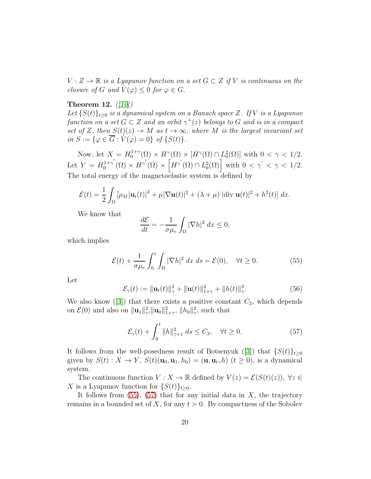$V: Z \to \mathbb{R}$  *is a Lyapunov function on a set*  $G \subset Z$  *if* V *is continuous on the closure of* G and  $V(\varphi) \leq 0$  for  $\varphi \in G$ .

#### Theorem 12. *([\[10\]](#page-22-8))*

Let  $\{S(t)\}_{t>0}$  *is a dynamical system on a Banach space* Z. If V *is a Lyapunov function on a set*  $G \subset Z$  *and an orbit*  $\gamma^+(z)$  *belongs to*  $G$  *and is in a compact set of* Z, then  $S(t)(z) \rightarrow M$  *as*  $t \rightarrow \infty$ *, where* M *is the largest invariant set*  $in S := \{ \varphi \in \overline{G} : \dot{V}(\varphi) = 0 \}$  of  $\{S(t)\}.$ 

Now, let  $X = H_0^{1+\gamma}$  $\mathcal{L}_0^{1+\gamma}(\Omega) \times H^{\gamma}(\Omega) \times [H^{\gamma}(\Omega) \cap L_0^2(\Omega)]$  with  $0 < \gamma < 1/2$ . Let  $Y = H_0^{1+\gamma'}$  $\int_0^{1+\gamma'}(\Omega) \times H^{\gamma'}(\Omega) \times \left[H^{\gamma'}(\Omega) \cap L_0^2(\Omega)\right]$  with  $0 < \gamma' < \gamma < 1/2$ . The total energy of the magnetoelastic system is defined by

$$
\mathcal{E}(t) = \frac{1}{2} \int_{\Omega} \left[ \rho_M |\mathbf{u}_t(t)|^2 + \mu |\nabla \mathbf{u}(t)|^2 + (\lambda + \mu) |\text{div } \mathbf{u}(t)|^2 + h^2(t) \right] dx.
$$

We know that

$$
\frac{d\mathcal{E}}{dt} = -\frac{1}{\sigma \mu_e} \int_{\Omega} |\nabla h|^2 dx \le 0,
$$

which implies

<span id="page-19-0"></span>
$$
\mathcal{E}(t) + \frac{1}{\sigma \mu_e} \int_0^t \int_{\Omega} |\nabla h|^2 \, dx \, ds = \mathcal{E}(0), \quad \forall t \ge 0.
$$
 (55)

Let

$$
\mathcal{E}_{\gamma}(t) := \|\mathbf{u}_t(t)\|_{\gamma}^2 + \|\mathbf{u}(t)\|_{1+\gamma}^2 + \|h(t)\|_{\gamma}^2.
$$
 (56)

We also know  $([3])$  $([3])$  $([3])$  that there exists a positive constant  $C_2$ , which depends on  $\mathcal{E}(0)$  and also on  $\|\mathbf{u}_1\|_{\gamma}^2$ ,  $\|\mathbf{u}_0\|_{1+\gamma}^2$ ,  $\|h_0\|_{\gamma}^2$ , such that

<span id="page-19-1"></span>
$$
\mathcal{E}_{\gamma}(t) + \int_0^t \|h\|_{\gamma+1}^2 ds \le C_2, \quad \forall t \ge 0.
$$
 (57)

It follows from the well-posedness result of Botsenyuk ([\[3\]](#page-21-2)) that  $\{S(t)\}_{t\geq0}$ given by  $S(t): X \to Y$ ,  $S(t)(\mathbf{u}_0, \mathbf{u}_1, h_0) = (\mathbf{u}, \mathbf{u}_t, h)$   $(t \ge 0)$ , is a dynamical system.

The continuous function  $V: X \to \mathbb{R}$  defined by  $V(z) = \mathcal{E}(S(t)(z))$ ,  $\forall z \in$ X is a Lyapunov function for  $\{S(t)\}_{t\geq 0}$ .

It follows from  $(55)$ ,  $(57)$  that for any initial data in X, the trajectory remains in a bounded set of X, for any  $t > 0$ . By compactness of the Sobolev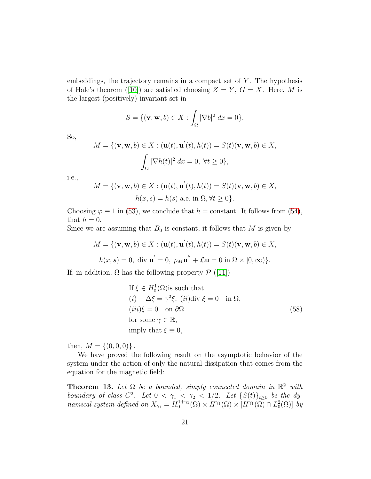embeddings, the trajectory remains in a compact set of  $Y$ . The hypothesis of Hale's theorem ([\[10\]](#page-22-8)) are satisfied choosing  $Z = Y, G = X$ . Here, M is the largest (positively) invariant set in

$$
S = \{ (\mathbf{v}, \mathbf{w}, b) \in X : \int_{\Omega} |\nabla b|^2 dx = 0 \}.
$$

So,

$$
M = \{ (\mathbf{v}, \mathbf{w}, b) \in X : (\mathbf{u}(t), \mathbf{u}'(t), h(t)) = S(t)(\mathbf{v}, \mathbf{w}, b) \in X,
$$

$$
\int_{\Omega} |\nabla h(t)|^2 dx = 0, \ \forall t \ge 0 \},
$$

i.e.,

$$
M = \{ (\mathbf{v}, \mathbf{w}, b) \in X : (\mathbf{u}(t), \mathbf{u}'(t), h(t)) = S(t)(\mathbf{v}, \mathbf{w}, b) \in X,
$$
  

$$
h(x, s) = h(s) \text{ a.e. in } \Omega, \forall t \ge 0 \}.
$$

Choosing  $\varphi \equiv 1$  in [\(53\)](#page-17-1), we conclude that  $h = \text{constant}$ . It follows from [\(54\)](#page-18-0), that  $h = 0$ .

Since we are assuming that  $B_0$  is constant, it follows that M is given by

$$
M = \{ (\mathbf{v}, \mathbf{w}, b) \in X : (\mathbf{u}(t), \mathbf{u}'(t), h(t)) = S(t)(\mathbf{v}, \mathbf{w}, b) \in X,
$$
  

$$
h(x, s) = 0, \text{ div } \mathbf{u}' = 0, \rho_M \mathbf{u}'' + \mathcal{L} \mathbf{u} = 0 \text{ in } \Omega \times [0, \infty) \}.
$$

If, in addition,  $\Omega$  has the following property  $\mathcal{P}$  ([\[11\]](#page-22-9))

If 
$$
\xi \in H_0^1(\Omega)
$$
 is such that  
\n $(i) - \Delta \xi = \gamma^2 \xi$ ,  $(ii) \text{div } \xi = 0$  in  $\Omega$ ,  
\n $(iii) \xi = 0$  on  $\partial \Omega$  (58)  
\nfor some  $\gamma \in \mathbb{R}$ ,  
\nimply that  $\xi \equiv 0$ ,

then,  $M = \{(0, 0, 0)\}\.$ 

We have proved the following result on the asymptotic behavior of the system under the action of only the natural dissipation that comes from the equation for the magnetic field:

**Theorem 13.** Let  $\Omega$  be a bounded, simply connected domain in  $\mathbb{R}^2$  with *boundary of class*  $C^2$ . Let  $0 < \gamma_1 < \gamma_2 < 1/2$ . Let  $\{S(t)\}_{t\geq 0}$  be the dy*namical system defined on*  $X_{\gamma_1} = H_0^{1+\gamma_1}$  $\int_0^{1+\gamma_1}(\Omega) \times H^{\gamma_1}(\Omega) \times [H^{\gamma_1}(\Omega) \cap L_0^2(\Omega)] dy$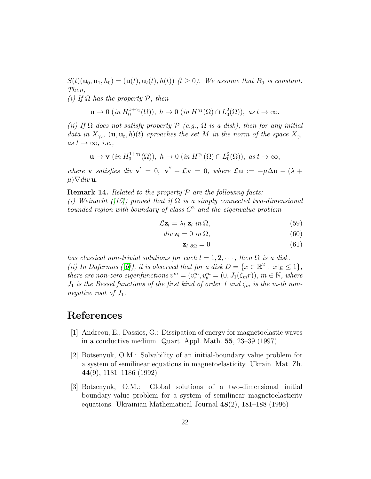$S(t)(\mathbf{u}_0, \mathbf{u}_1, h_0) = (\mathbf{u}(t), \mathbf{u}_t(t), h(t))$  ( $t \ge 0$ ). We assume that  $B_0$  is constant. *Then,*

*(i) If* Ω *has the property* P*, then*

$$
\mathbf{u}\to 0 \ (in\ H_0^{1+\gamma_1}(\Omega)),\ h\to 0 \ (in\ H^{\gamma_1}(\Omega)\cap L_0^2(\Omega)),\ as\ t\to\infty.
$$

*(ii) If* Ω *does not satisfy property* P *(e.g.,* Ω *is a disk), then for any initial data in*  $X_{\gamma_2}$ ,  $(\mathbf{u}, \mathbf{u}_t, h)(t)$  *aproaches the set* M *in the norm of the space*  $X_{\gamma_1}$  $as t \rightarrow \infty, i.e.,$ 

$$
\mathbf{u} \to \mathbf{v} \ (in \ H_0^{1+\gamma_1}(\Omega)), \ h \to 0 \ (in \ H^{\gamma_1}(\Omega) \cap L_0^2(\Omega)), \ as \ t \to \infty,
$$

*where* **v** *satisfies* div **v**<sup> $\prime$ </sup> = 0, **v**<sup> $\prime$ </sup> +  $\mathcal{L}$ **v** = 0, *where*  $\mathcal{L}$ **u** :=  $-\mu \Delta$ **u** -  $(\lambda +$  $(\mu) \nabla \text{div } \mathbf{u}.$ 

Remark 14. *Related to the property* P *are the following facts: (i)* Weinacht ( $\langle 15 \rangle$ ) proved that if  $\Omega$  is a simply connected two-dimensional *bounded region with boundary of class* C <sup>2</sup> *and the eigenvalue problem*

$$
\mathcal{L} \mathbf{z}_l = \lambda_l \, \mathbf{z}_l \, \, in \, \Omega, \tag{59}
$$

$$
div \mathbf{z}_l = 0 \text{ in } \Omega,
$$
\n(60)

$$
\mathbf{z}_l|_{\partial\Omega} = 0 \tag{61}
$$

*has classical non-trivial solutions for each*  $l = 1, 2, \cdots$ , then  $\Omega$  *is a disk.* (*ii*) In Dafermos ([\[6\]](#page-22-11)), it is observed that for a disk  $D = \{x \in \mathbb{R}^2 : |x|_E \le 1\}$ , *there are non-zero eigenfunctions*  $v^m = (v_r^m, v_\theta^m = (0, J_1(\zeta_m r)), m \in \mathbb{N}$ , where  $J_1$  *is the Bessel functions of the first kind of order 1 and*  $\zeta_m$  *is the m-th nonnegative root of*  $J_1$ *.* 

## <span id="page-21-1"></span>References

- [1] Andreou, E., Dassios, G.: Dissipation of energy for magnetoelastic waves in a conductive medium. Quart. Appl. Math. 55, 23–39 (1997)
- <span id="page-21-0"></span>[2] Botsenyuk, O.M.: Solvability of an initial-boundary value problem for a system of semilinear equations in magnetoelasticity. Ukrain. Mat. Zh. 44(9), 1181–1186 (1992)
- <span id="page-21-2"></span>[3] Botsenyuk, O.M.: Global solutions of a two-dimensional initial boundary-value problem for a system of semilinear magnetoelasticity equations. Ukrainian Mathematical Journal 48(2), 181–188 (1996)